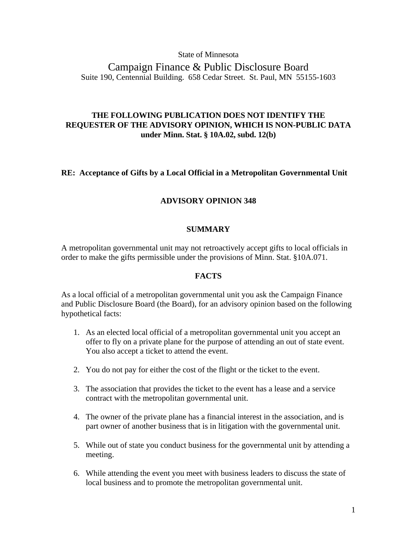### State of Minnesota

Campaign Finance & Public Disclosure Board Suite 190, Centennial Building. 658 Cedar Street. St. Paul, MN 55155-1603

# **THE FOLLOWING PUBLICATION DOES NOT IDENTIFY THE REQUESTER OF THE ADVISORY OPINION, WHICH IS NON-PUBLIC DATA under Minn. Stat. § 10A.02, subd. 12(b)**

## **RE: Acceptance of Gifts by a Local Official in a Metropolitan Governmental Unit**

## **ADVISORY OPINION 348**

## **SUMMARY**

A metropolitan governmental unit may not retroactively accept gifts to local officials in order to make the gifts permissible under the provisions of Minn. Stat. §10A.071.

#### **FACTS**

As a local official of a metropolitan governmental unit you ask the Campaign Finance and Public Disclosure Board (the Board), for an advisory opinion based on the following hypothetical facts:

- 1. As an elected local official of a metropolitan governmental unit you accept an offer to fly on a private plane for the purpose of attending an out of state event. You also accept a ticket to attend the event.
- 2. You do not pay for either the cost of the flight or the ticket to the event.
- 3. The association that provides the ticket to the event has a lease and a service contract with the metropolitan governmental unit.
- 4. The owner of the private plane has a financial interest in the association, and is part owner of another business that is in litigation with the governmental unit.
- 5. While out of state you conduct business for the governmental unit by attending a meeting.
- 6. While attending the event you meet with business leaders to discuss the state of local business and to promote the metropolitan governmental unit.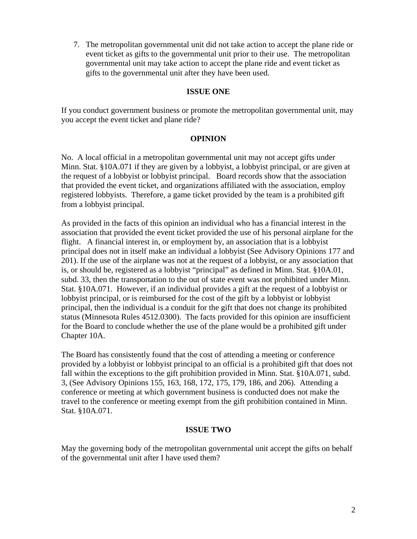7. The metropolitan governmental unit did not take action to accept the plane ride or event ticket as gifts to the governmental unit prior to their use. The metropolitan governmental unit may take action to accept the plane ride and event ticket as gifts to the governmental unit after they have been used.

# **ISSUE ONE**

If you conduct government business or promote the metropolitan governmental unit, may you accept the event ticket and plane ride?

# **OPINION**

No. A local official in a metropolitan governmental unit may not accept gifts under Minn. Stat. §10A.071 if they are given by a lobbyist, a lobbyist principal, or are given at the request of a lobbyist or lobbyist principal. Board records show that the association that provided the event ticket, and organizations affiliated with the association, employ registered lobbyists. Therefore, a game ticket provided by the team is a prohibited gift from a lobbyist principal.

As provided in the facts of this opinion an individual who has a financial interest in the association that provided the event ticket provided the use of his personal airplane for the flight. A financial interest in, or employment by, an association that is a lobbyist principal does not in itself make an individual a lobbyist (See Advisory Opinions 177 and 201). If the use of the airplane was not at the request of a lobbyist, or any association that is, or should be, registered as a lobbyist "principal" as defined in Minn. Stat. §10A.01, subd. 33, then the transportation to the out of state event was not prohibited under Minn. Stat. §10A.071. However, if an individual provides a gift at the request of a lobbyist or lobbyist principal, or is reimbursed for the cost of the gift by a lobbyist or lobbyist principal, then the individual is a conduit for the gift that does not change its prohibited status (Minnesota Rules 4512.0300). The facts provided for this opinion are insufficient for the Board to conclude whether the use of the plane would be a prohibited gift under Chapter 10A.

The Board has consistently found that the cost of attending a meeting or conference provided by a lobbyist or lobbyist principal to an official is a prohibited gift that does not fall within the exceptions to the gift prohibition provided in Minn. Stat. §10A.071, subd. 3, (See Advisory Opinions 155, 163, 168, 172, 175, 179, 186, and 206). Attending a conference or meeting at which government business is conducted does not make the travel to the conference or meeting exempt from the gift prohibition contained in Minn. Stat. §10A.071.

# **ISSUE TWO**

May the governing body of the metropolitan governmental unit accept the gifts on behalf of the governmental unit after I have used them?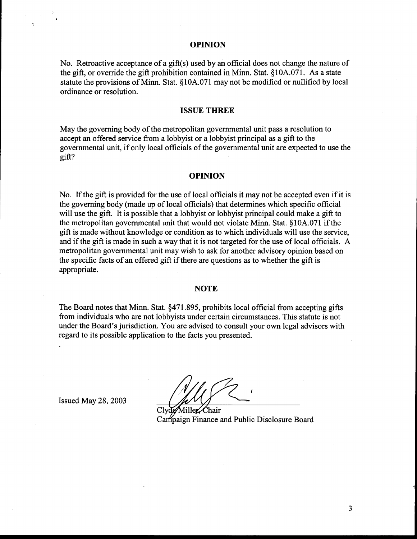#### **OPINION**

No. Retroactive acceptance of a gift(s) used by an official does not change the nature of the gift, or override the gift prohibition contained in Minn. Stat. §10A.071. As a state statute the provisions of Minn. Stat. §10A.071 may not be modified or nullified by local ordinance or resolution.

#### **ISSUE THREE**

May the governing body of the metropolitan governmental unit pass a resolution to accept an offered service from a lobbyist or a lobbyist principal as a gift to the governmental unit, if only local officials of the governmental unit are expected to use the gift?

#### **OPINION**

No. If the gift is provided for the use of local officials it may not be accepted even if it is the governing body (made up of local officials) that determines which specific official will use the gift. It is possible that a lobbyist or lobbyist principal could make a gift to the metropolitan governmental unit that would not violate Minn. Stat. 9 10A.071 if the gift is made without knowledge or condition as to which individuals will use the service, and if the gift is made in such a way that it is not targeted for the use of local officials. A metropolitan governmental unit may wish to ask for another advisory opinion based on the specific facts of an offered gift if there are questions as to whether the gift is appropriate.

#### **NOTE**

The Board notes that Minn. Stat. \$471 **395,** prohibits local official from accepting gifts from individuals who are not lobbyists under certain circumstances. This statute is not under the Board's jurisdiction. You are advised to consult your own legal advisors with regard to its possible application to the facts you presented.

Issued May 28, 2003

Miller Chair Canipaign Finance and Public Disclosure Board

3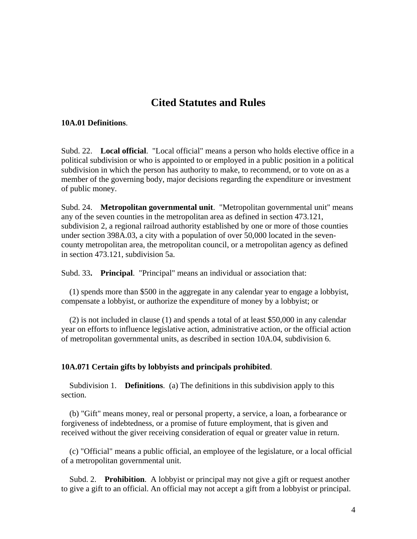# **Cited Statutes and Rules**

## **10A.01 Definitions**.

Subd. 22. **Local official**. "Local official" means a person who holds elective office in a political subdivision or who is appointed to or employed in a public position in a political subdivision in which the person has authority to make, to recommend, or to vote on as a member of the governing body, major decisions regarding the expenditure or investment of public money.

Subd. 24. **Metropolitan governmental unit**. "Metropolitan governmental unit" means any of the seven counties in the metropolitan area as defined in section 473.121, subdivision 2, a regional railroad authority established by one or more of those counties under section 398A.03, a city with a population of over 50,000 located in the sevencounty metropolitan area, the metropolitan council, or a metropolitan agency as defined in section 473.121, subdivision 5a.

Subd. 33**. Principal**. "Principal" means an individual or association that:

 (1) spends more than \$500 in the aggregate in any calendar year to engage a lobbyist, compensate a lobbyist, or authorize the expenditure of money by a lobbyist; or

 (2) is not included in clause (1) and spends a total of at least \$50,000 in any calendar year on efforts to influence legislative action, administrative action, or the official action of metropolitan governmental units, as described in section 10A.04, subdivision 6.

## **10A.071 Certain gifts by lobbyists and principals prohibited**.

 Subdivision 1. **Definitions**. (a) The definitions in this subdivision apply to this section.

 (b) "Gift" means money, real or personal property, a service, a loan, a forbearance or forgiveness of indebtedness, or a promise of future employment, that is given and received without the giver receiving consideration of equal or greater value in return.

 (c) "Official" means a public official, an employee of the legislature, or a local official of a metropolitan governmental unit.

 Subd. 2. **Prohibition**. A lobbyist or principal may not give a gift or request another to give a gift to an official. An official may not accept a gift from a lobbyist or principal.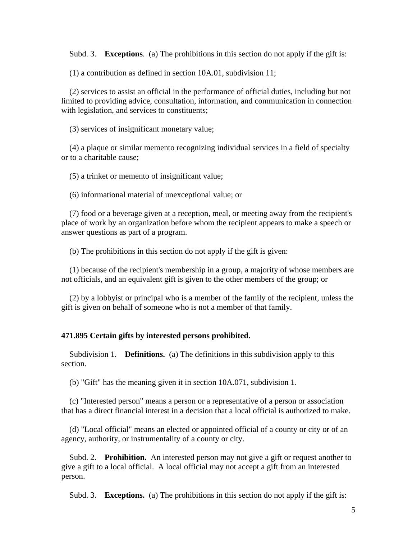Subd. 3. **Exceptions**. (a) The prohibitions in this section do not apply if the gift is:

(1) a contribution as defined in section 10A.01, subdivision 11;

 (2) services to assist an official in the performance of official duties, including but not limited to providing advice, consultation, information, and communication in connection with legislation, and services to constituents;

(3) services of insignificant monetary value;

 (4) a plaque or similar memento recognizing individual services in a field of specialty or to a charitable cause;

(5) a trinket or memento of insignificant value;

(6) informational material of unexceptional value; or

 (7) food or a beverage given at a reception, meal, or meeting away from the recipient's place of work by an organization before whom the recipient appears to make a speech or answer questions as part of a program.

(b) The prohibitions in this section do not apply if the gift is given:

 (1) because of the recipient's membership in a group, a majority of whose members are not officials, and an equivalent gift is given to the other members of the group; or

 (2) by a lobbyist or principal who is a member of the family of the recipient, unless the gift is given on behalf of someone who is not a member of that family.

#### **471.895 Certain gifts by interested persons prohibited.**

 Subdivision 1. **Definitions.** (a) The definitions in this subdivision apply to this section.

(b) "Gift" has the meaning given it in section 10A.071, subdivision 1.

 (c) "Interested person" means a person or a representative of a person or association that has a direct financial interest in a decision that a local official is authorized to make.

 (d) "Local official" means an elected or appointed official of a county or city or of an agency, authority, or instrumentality of a county or city.

 Subd. 2. **Prohibition.** An interested person may not give a gift or request another to give a gift to a local official. A local official may not accept a gift from an interested person.

Subd. 3. **Exceptions.** (a) The prohibitions in this section do not apply if the gift is: